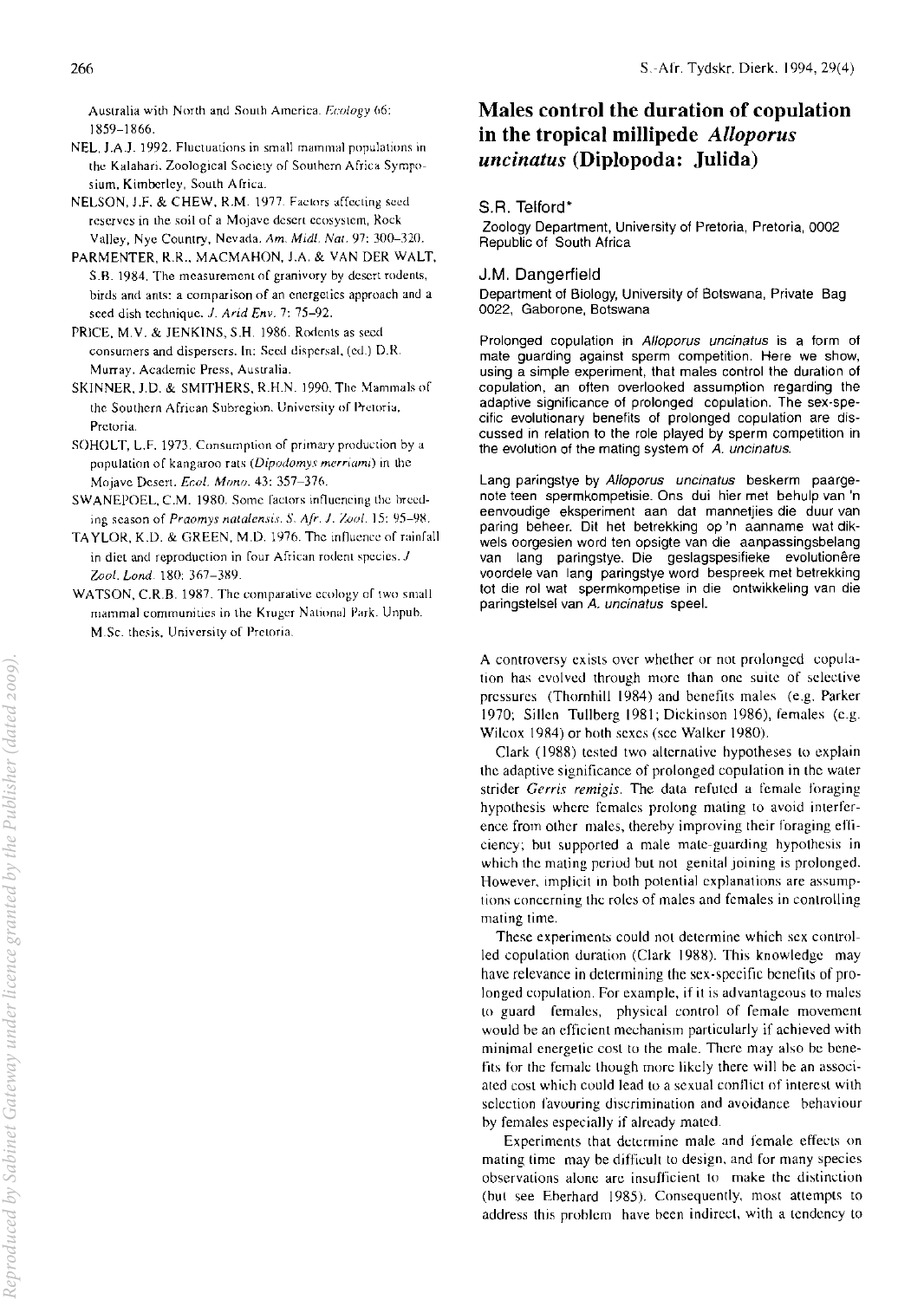Australia with North and South America. Ecology 66: 1859-1866.

- NEL. 1.AJ. 1992. Fluctuations in small mammal populalions in the Kalahari. Zoological Society of Southern Africa Symposium, Kimberley, South Africa.
- NELSON, J.F. & CHEW, R.M. 1977. Factors affecting seed reserves in the soil of a Mojave desert ecosystem, Rock Valley, Nyc Country, Nevada. Am. Mid!. Nal. 97: 300-320.
- PARMENTER, R.R., MACMAHON, l.A. & VAN DER WALT, S.R. 1984. The measurement of granivory by desert rodents, birds and ants: a comparison of an energetics approach and a seed dish technique. *J. Arid Env.* 7: 75-92.
- PRICE, M.V. & JENKINS, S.H. 1986. Rodents as seed comumers and dispersers. In: Seed dispersal. (cd.) D.R. Murray. Academic Press, Australia.
- SKINNER, J.D. & SMITHERS, R.H.N. 1990. The Mammals of the Southern African Subregion. University of Pretoria, Pretoria.
- SOHOLT, L.F. 1973. Consumption of primary production by a population of kangaroo rats (Dipodomys merriami) in the Mojave Desert. *Er:ol. Mono.* 43: 357-376.
- SWANEPOEL, C.M. 1980. Some factors influencing the breeding season of Praomys *nalalensis. S. Afr.* 1. *Zool.* 15: *YS-YH.*
- TA YLOR, K.D. & GREEN, M.D. 1976. The influence of rainfall in diet and reproduction in four African rodent species. J Zool. Lond. 180: 367-389.
- WATSON, C.R.B. 1987. The comparative ecology of two small mammal communities in the Kruger National Park. Unrub. M.Sc. thesis, University of Pretoria.

# Males control the duration of copulation in the tropical millipede *Alloporus uncinatus* (Diplopoda: Julida)

## S.R. Telford'

Zoology Department, University of Pretoria, Pretoria, 0002 Republic of South Africa

## J,M, Dangerfield

Department of Biology, University of Botswana, Private Bag 0022, Gaborone, Botswana

Prolonged copulation in Alloporus uncinatus is a form of mate guarding against sperm competition. Here we show, using a simple experiment, that males control the duration of copUlation, an often overlooked assumption regarding the adaptive significance of prolonged copulation. The sex-specific evolutionary benefits of prolonged copulation are discussed in relation to the role played by sperm competition in the evolution of the mating system of A. uncinatus.

Lang paringstye by Alloporus uncinatus beskerm paargenote teen spermkompetisie. Ons dui hier met behulp van 'n eenvoudige eksperiment aan dat mannetjies die duur van paring beheer. Dit het betrekking op 'n aanname wat dikwels oorgesien word ten opsigte van die aanpassingsbelang van lang paringstye. Die geslagspesifieke evolutionêre voordele van lang paringstye word bespreek met betrekking tot die rol wat spermkompetise in die ontwikkeling van die paringstelsel van A. uncinatus speel.

A controversy exists over whether or not prolonged copulation has evolved through more than one suite of selective pressures (Thornhill 1984) and benefits males (e.g. Parker 1970; Sillcn TUllberg 1981; Dickinson 1986), females (e.g. Wilcox 1984) or both sexes (see Walker 1980).

Clark (1988) tested two alternative hypotheses to explain the adaptive significance of prolonged copulation in the water strider Gerris remigis. The data refuted a female foraging hypothesis where females prolong mating to avoid interference from other males, thereby improving their foraging efficiency; but supported a male mate-guarding hypothesis in which the mating period but not genital joining is prolonged. However, implicit in both potential explanations are assumptions concerning the roles of males and females in controlling mating time.

These experiments could not determine which sex controlled copulation duration (Clark 1988). This knowledgc may have relevance in determining the sex-specific benefits of prolonged copulation. For example. if it is advantageous to males to guard females, physical control of female movement would be an efficient mechanism particularly if achieved with minimal energetic cost to the male. There may also be benefits for the female though more likely there will be an associated cost which could lead to a sexual conflict of interest with selection favouring discrimination and avoidance behaviour hy females especially if alrcady mated.

Experiments that determine male and female effects on mating time may be difficult to design. and for many species observations alone are insufficient to make the distinction (but see Eberhard 1985). Consequently, most attempts to address this prohlem have been indirect, with a tendency to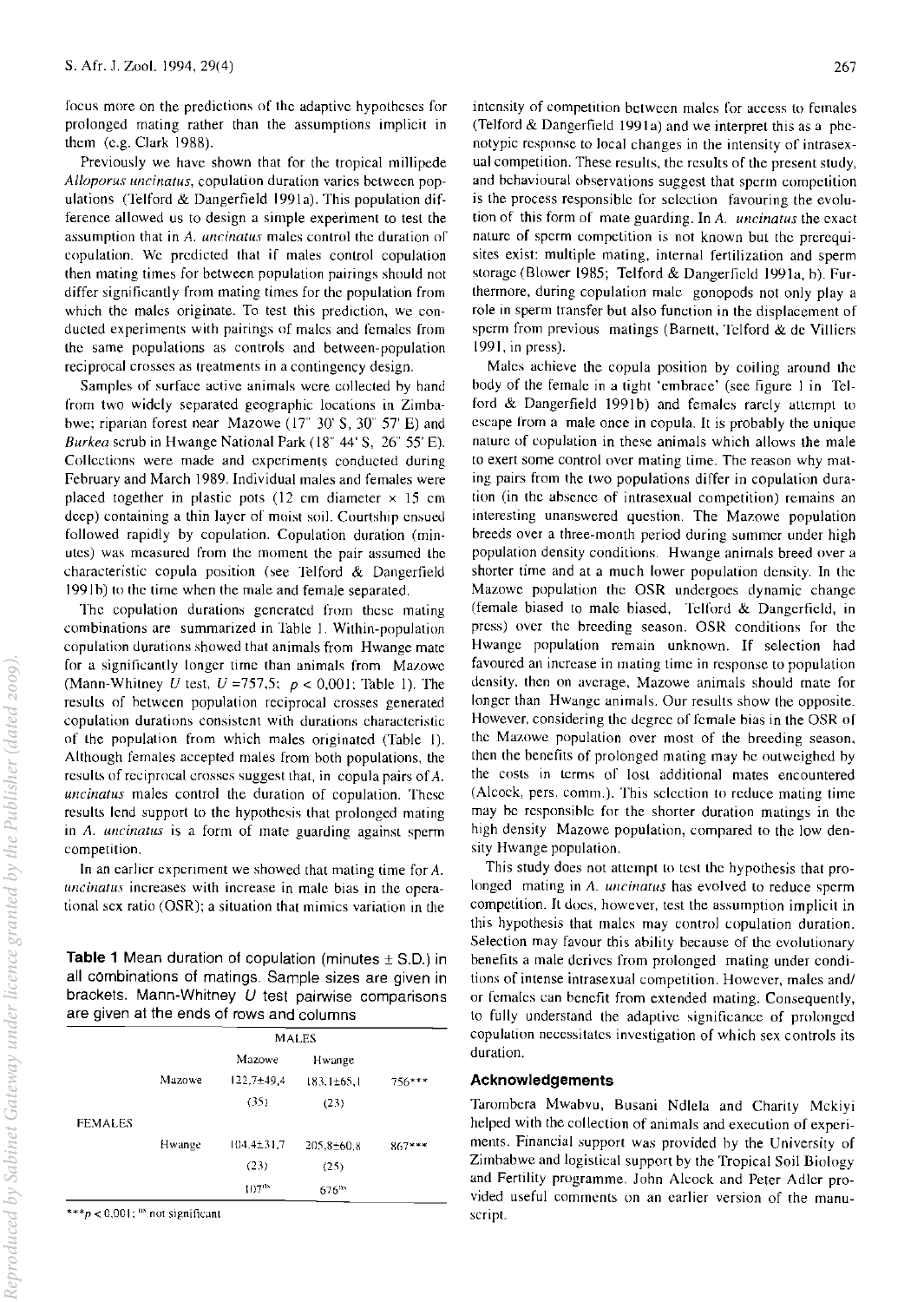focus more on the predictions of the adaptive hypotheses for prolonged mating rather than the assumptions implicit in them (e.g. Clark 1988).

Previously we have shown that for the tropical millipede *Alloporus uncinatus, copulation duration varies between pop*ulations (Telford & Dangerfield 199Ia). This population difference allowed us to design a simple experiment to test the assumption that in *A. uncinatus* males control the duration or copulation. We predicted that if males control copulation then mating times for between population pairings should not differ significantly from mating times for the population from which the males originate. To test this prediction, we conducted experiments with pairings of males and females from the same populations as controls and between-population reciprocal crosses as treatments in a contingency design.

Samples of surface active animals were collected hy hand from two widely separated geographic locations in Zimbabwe; riparian forest near Mazowe (17° 30' S, 30° 57' E) and *Burkea* scrub in Hwange National Park (18° 44' S, 26° 55' E). Collections were made and experiments conducted during February and March 1989. Individual males and females were placed together in plastic pots (12 cm diameter  $\times$  15 cm deep) containing a thin layer of moist soil. Courtship ensued followed rapidly by copulation. Copulation duration (minutes) was measured from the moment the pair assumed the characteristic copula position (see Telford  $\&$  Dangerfield 1991b) to the time when the male and female separated.

The copulation durations generated from these mating combinations are summarized in Table I. Within-population copulation durations showed that animals from Hwange mate for a significantly longer time than animals from Mazowe (Mann-Whitney *U* test, *U* =757,5; *P* < 0.001; Table I). The results of between population reciprocal crosses generated copulation durations consistent with durations characteristic of the population from whieh males originated (Table I). Although females accepted males from both populations. the results of reciprocal crosses suggest that, in copula pairs of A. *uncinatus* males control the duration of copulation. These results lend support to the hypothesis that prolonged mating in *A. uncinatus* is a form of mate guarding against sperm competition.

In an earlier experiment we showed that mating time for A. *uncinatus* increases with increase in male bias in the operational sex: ratio (OSR); a situation that mimics variation in the

Table 1 Mean duration of copulation (minutes  $\pm$  S.D.) in all combinations of matings. Sample sizes are given in brackets. Mann-Whitney  $U$  test pairwise comparisons are given at the ends of rows and columns

|                |        | <b>MALES</b> |                  |          |
|----------------|--------|--------------|------------------|----------|
|                |        | Mazowe       | Hwange           |          |
|                | Mazowe | 122,7±49,4   | 183,1±65,1       | $756***$ |
|                |        | (35)         | (23)             |          |
| <b>FEMALES</b> |        |              |                  |          |
|                | Hwange | 104.4±31.7   | $205,8 \pm 60.8$ | $867***$ |
|                |        | (23)         | (25)             |          |
|                |        | $107^{08}$   | $676^{ns}$       |          |

\*\*\* $p < 0.001$ ; " not significant

intensity of competition between males for access to females (Telford  $&$  Dangerfield 1991a) and we interpret this as a phenotypic response to local changes in the intensity of intrasexual competition. These results, the results of the present study, and behavioural observations suggest that sperm competition is the process responsible for selection favouring the evolution of this form of mate guarding. In *A. uncinatus* the exact nature of sperm competition is not known but the prerequisites exist: multiple mating. internal fertilization and sperm storage (Blower 1985; Telford & Dangerfield 1991a, b). Furthermore, during copulation male gonopods not only play a role in sperm transfer but also function in the displacement of sperm from previous matings (Barnett, Telford & de Villiers 1991, in press).

Males achieve the copula position by coiling around the body of the female in a tight 'emhrace' (see figure I in Telford & Dangerfield 1991b) and females rarely attempt to escape from a male once in copula. It is probably the unique nature of copulation in these animals which allows the male to exert some control over mating time. The reason why mating pairs from the two populations differ in copulation duration (in the ahsence of intrasexual competition) remains an interesting unanswered question. The Mazowe population breeds over a three-month period during summer under high population density conditions. Hwange animals breed over a shorter time and at a much lower population density. In the Mazowe population the OSR undergoes dynamic change (female biased to male biased, Telford & Dangerfield, in press) over the hreeding season. OSR conditions for the Hwange population remain unknown. If selection had favoured an increase in mating time in response to population density. then on average, Mazowe animals should mate for longer than Hwange animals. Our results show the opposite. However, considering the degree of female hias in the OSR of the Mazowe population over most of the breeding season. then the benefits of prolonged mating may he outweighed hy the costs in terms of lost additional mates encountered (Alcock, pers. comm.). This selection to reduce mating time may he responsihle for the shorter duration matings in the high density Mazowe population, compared to the low density Hwange population.

This study does not attempt to test the hypothesis that prolonged mating in A. uncinatus has evolved to reduce sperm competition. It docs, however, test the assumption implicit in this hypothesis that males may control copulation duration. Selection may favour this ability because of the evolutionary benefits a male derives from prolonged mating under conditions of intense intrasexual competition. However, males and/ or females can benefit from extended mating. Consequently, to fully understand the adaptive significance of prolonged copulation necessitates investigation of which sex controls its duration.

#### Acknowledgements

Tarombera Mwabvu, Busani Ndlela and Charity Mckiyi helped with the collection of animals and execution of experiments. Financial support was provided by the University of Zimhabwe and logistical support by the Tropical Soil Biology and Fertility programme. John Alcock and Peter Adler provided useful comments on an earlier version of the manuscript.